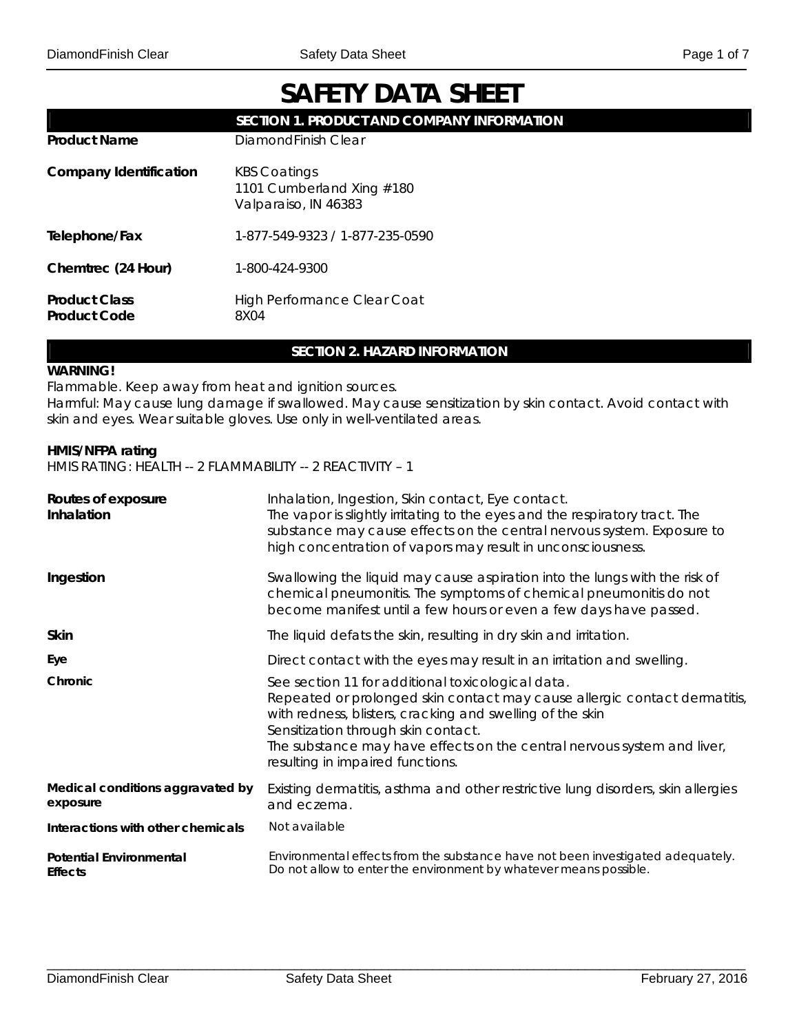# **SAFETY DATA SHEET**

|                                             | SECTION 1. PRODUCT AND COMPANY INFORMATION                               |
|---------------------------------------------|--------------------------------------------------------------------------|
| <b>Product Name</b>                         | DiamondFinish Clear                                                      |
| <b>Company Identification</b>               | <b>KBS Coatings</b><br>1101 Cumberland Xing #180<br>Valparaiso, IN 46383 |
| Telephone/Fax                               | 1-877-549-9323 / 1-877-235-0590                                          |
| Chemtrec (24 Hour)                          | 1-800-424-9300                                                           |
| <b>Product Class</b><br><b>Product Code</b> | <b>High Performance Clear Coat</b><br>8X04                               |

# **SECTION 2. HAZARD INFORMATION**

#### **WARNING!**

Flammable. Keep away from heat and ignition sources.

Harmful: May cause lung damage if swallowed. May cause sensitization by skin contact. Avoid contact with skin and eyes. Wear suitable gloves. Use only in well-ventilated areas.

# **HMIS/NFPA rating**

HMIS RATING: HEALTH -- 2 FLAMMABILITY -- 2 REACTIVITY – 1

| Routes of exposure<br>Inhalation                 | Inhalation, Ingestion, Skin contact, Eye contact.<br>The vapor is slightly irritating to the eyes and the respiratory tract. The<br>substance may cause effects on the central nervous system. Exposure to<br>high concentration of vapors may result in unconsciousness.                                                                         |
|--------------------------------------------------|---------------------------------------------------------------------------------------------------------------------------------------------------------------------------------------------------------------------------------------------------------------------------------------------------------------------------------------------------|
| Ingestion                                        | Swallowing the liquid may cause aspiration into the lungs with the risk of<br>chemical pneumonitis. The symptoms of chemical pneumonitis do not<br>become manifest until a few hours or even a few days have passed.                                                                                                                              |
| <b>Skin</b>                                      | The liquid defats the skin, resulting in dry skin and irritation.                                                                                                                                                                                                                                                                                 |
| Eye                                              | Direct contact with the eyes may result in an irritation and swelling.                                                                                                                                                                                                                                                                            |
| Chronic                                          | See section 11 for additional toxicological data.<br>Repeated or prolonged skin contact may cause allergic contact dermatitis,<br>with redness, blisters, cracking and swelling of the skin<br>Sensitization through skin contact.<br>The substance may have effects on the central nervous system and liver,<br>resulting in impaired functions. |
| Medical conditions aggravated by<br>exposure     | Existing dermatitis, asthma and other restrictive lung disorders, skin allergies<br>and eczema.                                                                                                                                                                                                                                                   |
| Interactions with other chemicals                | Not available                                                                                                                                                                                                                                                                                                                                     |
| <b>Potential Environmental</b><br><b>Effects</b> | Environmental effects from the substance have not been investigated adequately.<br>Do not allow to enter the environment by whatever means possible.                                                                                                                                                                                              |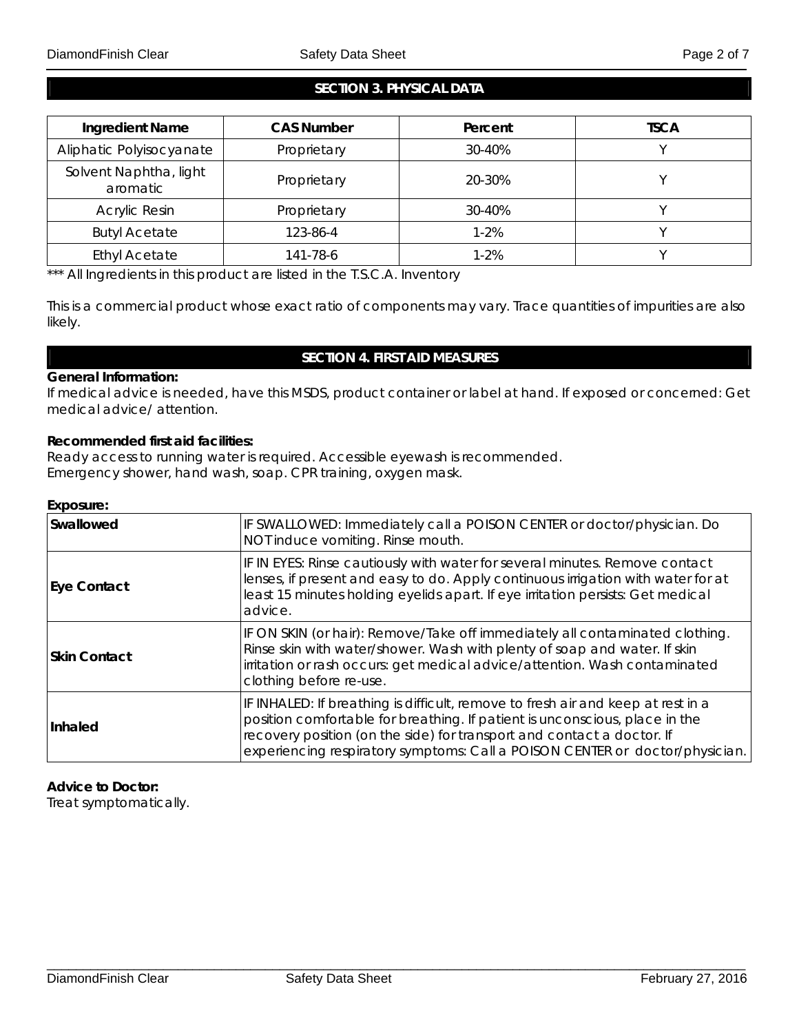# **SECTION 3. PHYSICAL DATA**

| <b>Ingredient Name</b>             | <b>CAS Number</b> | Percent  | <b>TSCA</b> |
|------------------------------------|-------------------|----------|-------------|
| Aliphatic Polyisocyanate           | Proprietary       | 30-40%   |             |
| Solvent Naphtha, light<br>aromatic | Proprietary       | 20-30%   |             |
| Acrylic Resin                      | Proprietary       | 30-40%   |             |
| <b>Butyl Acetate</b>               | 123-86-4          | $1 - 2%$ |             |
| <b>Ethyl Acetate</b>               | 141-78-6          | $1 - 2%$ |             |

\*\*\* All Ingredients in this product are listed in the T.S.C.A. Inventory

This is a commercial product whose exact ratio of components may vary. Trace quantities of impurities are also likely.

# **SECTION 4. FIRST AID MEASURES**

#### **General Information:**

If medical advice is needed, have this MSDS, product container or label at hand. If exposed or concerned: Get medical advice/ attention.

# **Recommended first aid facilities:**

Ready access to running water is required. Accessible eyewash is recommended. Emergency shower, hand wash, soap. CPR training, oxygen mask.

#### **Exposure:**

| Swallowed           | IF SWALLOWED: Immediately call a POISON CENTER or doctor/physician. Do<br>NOT induce vomiting. Rinse mouth.                                                                                                                                                                                                               |
|---------------------|---------------------------------------------------------------------------------------------------------------------------------------------------------------------------------------------------------------------------------------------------------------------------------------------------------------------------|
| <b>Eye Contact</b>  | IF IN EYES: Rinse cautiously with water for several minutes. Remove contact<br>lenses, if present and easy to do. Apply continuous irrigation with water for at<br>least 15 minutes holding eyelids apart. If eye irritation persists: Get medical<br>advice.                                                             |
| <b>Skin Contact</b> | IF ON SKIN (or hair): Remove/Take off immediately all contaminated clothing.<br>Rinse skin with water/shower. Wash with plenty of soap and water. If skin<br>irritation or rash occurs: get medical advice/attention. Wash contaminated<br>clothing before re-use.                                                        |
| Inhaled             | IF INHALED: If breathing is difficult, remove to fresh air and keep at rest in a<br>position comfortable for breathing. If patient is unconscious, place in the<br>recovery position (on the side) for transport and contact a doctor. If<br>experiencing respiratory symptoms: Call a POISON CENTER or doctor/physician. |

#### **Advice to Doctor:**

Treat symptomatically.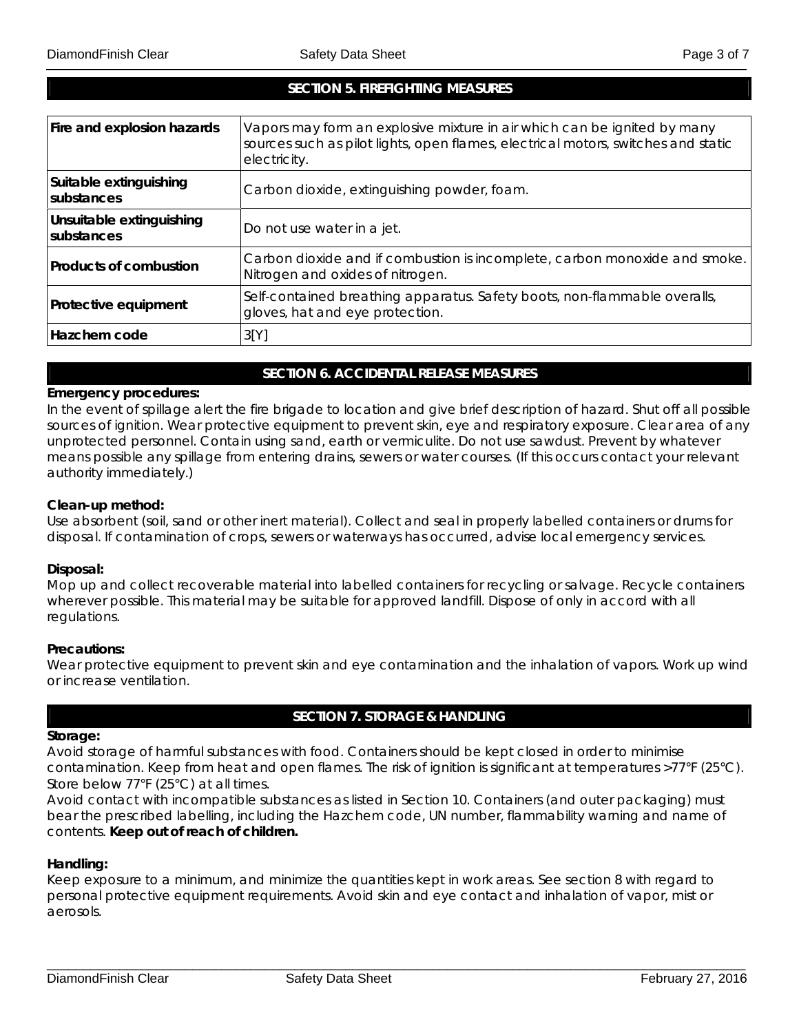# **SECTION 5. FIREFIGHTING MEASURES**

| Fire and explosion hazards             | Vapors may form an explosive mixture in air which can be ignited by many<br>sources such as pilot lights, open flames, electrical motors, switches and static<br>electricity. |
|----------------------------------------|-------------------------------------------------------------------------------------------------------------------------------------------------------------------------------|
| Suitable extinguishing<br>substances   | Carbon dioxide, extinguishing powder, foam.                                                                                                                                   |
| Unsuitable extinguishing<br>substances | Do not use water in a jet.                                                                                                                                                    |
| Products of combustion                 | Carbon dioxide and if combustion is incomplete, carbon monoxide and smoke.<br>Nitrogen and oxides of nitrogen.                                                                |
| Protective equipment                   | Self-contained breathing apparatus. Safety boots, non-flammable overalls,<br>gloves, hat and eye protection.                                                                  |
| Hazchem code                           | 3[Y]                                                                                                                                                                          |

# **SECTION 6. ACCIDENTAL RELEASE MEASURES**

#### **Emergency procedures:**

In the event of spillage alert the fire brigade to location and give brief description of hazard. Shut off all possible sources of ignition. Wear protective equipment to prevent skin, eye and respiratory exposure. Clear area of any unprotected personnel. Contain using sand, earth or vermiculite. Do not use sawdust. Prevent by whatever means possible any spillage from entering drains, sewers or water courses. (If this occurs contact your relevant authority immediately.)

#### **Clean-up method:**

Use absorbent (soil, sand or other inert material). Collect and seal in properly labelled containers or drums for disposal. If contamination of crops, sewers or waterways has occurred, advise local emergency services.

#### **Disposal:**

Mop up and collect recoverable material into labelled containers for recycling or salvage. Recycle containers wherever possible. This material may be suitable for approved landfill. Dispose of only in accord with all regulations.

#### **Precautions:**

Wear protective equipment to prevent skin and eye contamination and the inhalation of vapors. Work up wind or increase ventilation.

# **SECTION 7. STORAGE & HANDLING**

#### **Storage:**

Avoid storage of harmful substances with food. Containers should be kept closed in order to minimise contamination. Keep from heat and open flames. The risk of ignition is significant at temperatures >77°F (25°C). Store below 77°F (25°C) at all times.

Avoid contact with incompatible substances as listed in Section 10. Containers (and outer packaging) must bear the prescribed labelling, including the Hazchem code, UN number, flammability warning and name of contents. **Keep out of reach of children.** 

#### **Handling:**

Keep exposure to a minimum, and minimize the quantities kept in work areas. See section 8 with regard to personal protective equipment requirements. Avoid skin and eye contact and inhalation of vapor, mist or aerosols.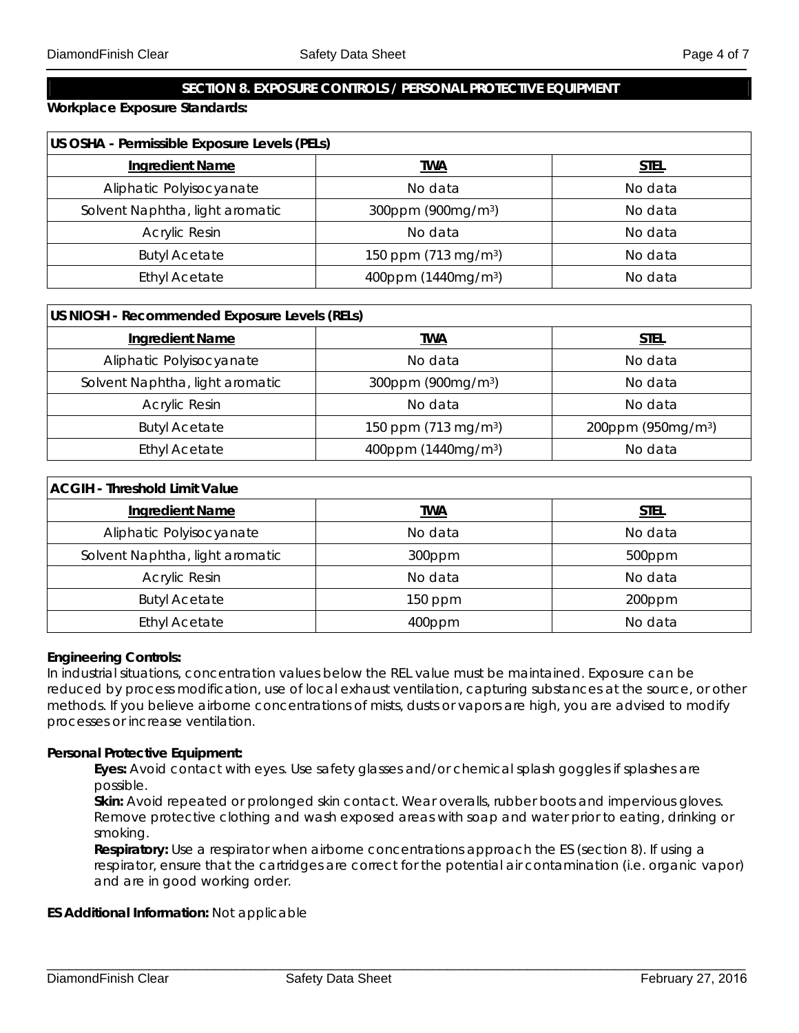# **SECTION 8. EXPOSURE CONTROLS / PERSONAL PROTECTIVE EQUIPMENT**

**Workplace Exposure Standards:** 

| US OSHA - Permissible Exposure Levels (PELs) |                                  |             |
|----------------------------------------------|----------------------------------|-------------|
| <b>Ingredient Name</b>                       | <u>TWA</u>                       | <u>STEL</u> |
| Aliphatic Polyisocyanate                     | No data                          | No data     |
| Solvent Naphtha, light aromatic              | 300ppm (900mg/m <sup>3</sup> )   | No data     |
| <b>Acrylic Resin</b>                         | No data                          | No data     |
| <b>Butyl Acetate</b>                         | 150 ppm (713 mg/m <sup>3</sup> ) | No data     |
| <b>Ethyl Acetate</b>                         | 400ppm (1440mg/m <sup>3</sup> )  | No data     |

| US NIOSH - Recommended Exposure Levels (RELs) |                                  |                                |
|-----------------------------------------------|----------------------------------|--------------------------------|
| <b>Ingredient Name</b>                        | twa                              | <u>STEL</u>                    |
| Aliphatic Polyisocyanate                      | No data                          | No data                        |
| Solvent Naphtha, light aromatic               | 300ppm (900mg/m <sup>3</sup> )   | No data                        |
| <b>Acrylic Resin</b>                          | No data                          | No data                        |
| <b>Butyl Acetate</b>                          | 150 ppm (713 mg/m <sup>3</sup> ) | 200ppm (950mg/m <sup>3</sup> ) |
| <b>Ethyl Acetate</b>                          | 400ppm (1440mg/m <sup>3</sup> )  | No data                        |

| <b>ACGIH - Threshold Limit Value</b> |            |             |
|--------------------------------------|------------|-------------|
| <b>Ingredient Name</b>               | <b>TWA</b> | <u>STEL</u> |
| Aliphatic Polyisocyanate             | No data    | No data     |
| Solvent Naphtha, light aromatic      | 300ppm     | 500ppm      |
| <b>Acrylic Resin</b>                 | No data    | No data     |
| <b>Butyl Acetate</b>                 | $150$ ppm  | 200ppm      |
| <b>Ethyl Acetate</b>                 | 400ppm     | No data     |

#### **Engineering Controls:**

In industrial situations, concentration values below the REL value must be maintained. Exposure can be reduced by process modification, use of local exhaust ventilation, capturing substances at the source, or other methods. If you believe airborne concentrations of mists, dusts or vapors are high, you are advised to modify processes or increase ventilation.

#### **Personal Protective Equipment:**

**Eyes:** Avoid contact with eyes. Use safety glasses and/or chemical splash goggles if splashes are possible.

 $\Box$ 

**Skin:** Avoid repeated or prolonged skin contact. Wear overalls, rubber boots and impervious gloves. Remove protective clothing and wash exposed areas with soap and water prior to eating, drinking or smoking.

**Respiratory:** Use a respirator when airborne concentrations approach the ES (section 8). If using a respirator, ensure that the cartridges are correct for the potential air contamination (i.e. organic vapor) and are in good working order.

# **ES Additional Information:** Not applicable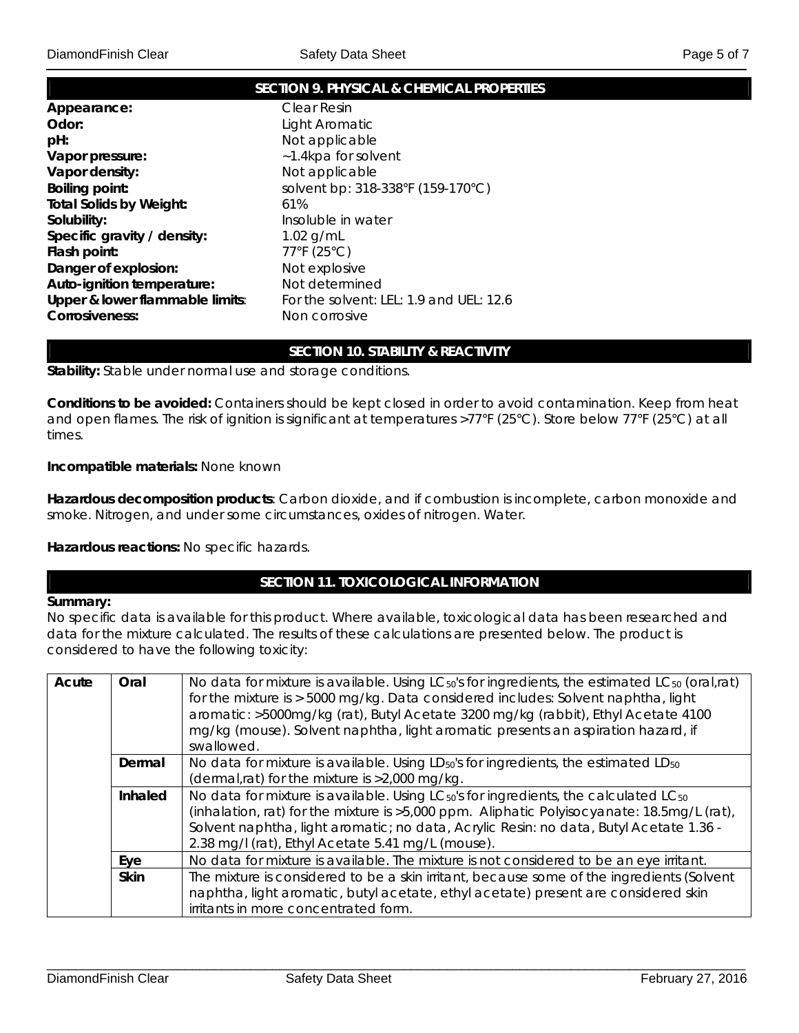|                                 | <b>SECTION 9. PHYSICAL &amp; CHEMICAL PROPERTIES</b> |
|---------------------------------|------------------------------------------------------|
| Appearance:                     | Clear Resin                                          |
| Odor:                           | Light Aromatic                                       |
| pH:                             | Not applicable                                       |
| Vapor pressure:                 | ~1.4kpa for solvent                                  |
| Vapor density:                  | Not applicable                                       |
| <b>Boiling point:</b>           | solvent bp: 318-338°F (159-170°C)                    |
| <b>Total Solids by Weight:</b>  | 61%                                                  |
| Solubility:                     | Insoluble in water                                   |
| Specific gravity / density:     | 1.02 $g/mL$                                          |
| Flash point:                    | 77°F (25°C)                                          |
| Danger of explosion:            | Not explosive                                        |
| Auto-ignition temperature:      | Not determined                                       |
| Upper & lower flammable limits: | For the solvent: LEL: 1.9 and UEL: 12.6              |
| Corrosiveness:                  | Non corrosive                                        |
|                                 |                                                      |

# **SECTION 10. STABILITY & REACTIVITY**

**Stability:** Stable under normal use and storage conditions.

**Conditions to be avoided:** Containers should be kept closed in order to avoid contamination. Keep from heat and open flames. The risk of ignition is significant at temperatures >77°F (25°C). Store below 77°F (25°C) at all times.

#### **Incompatible materials:** None known

**Hazardous decomposition products**: Carbon dioxide, and if combustion is incomplete, carbon monoxide and smoke. Nitrogen, and under some circumstances, oxides of nitrogen. Water.

**Hazardous reactions:** No specific hazards.

# **SECTION 11. TOXICOLOGICAL INFORMATION**

#### **Summary:**

No specific data is available for this product. Where available, toxicological data has been researched and data for the mixture calculated. The results of these calculations are presented below. The product is considered to have the following toxicity:

| Acute | Oral        | No data for mixture is available. Using LC <sub>50</sub> 's for ingredients, the estimated LC <sub>50</sub> (oral,rat)<br>for the mixture is > 5000 mg/kg. Data considered includes: Solvent naphtha, light<br>aromatic: >5000mg/kg (rat), Butyl Acetate 3200 mg/kg (rabbit), Ethyl Acetate 4100<br>mg/kg (mouse). Solvent naphtha, light aromatic presents an aspiration hazard, if<br>swallowed. |
|-------|-------------|----------------------------------------------------------------------------------------------------------------------------------------------------------------------------------------------------------------------------------------------------------------------------------------------------------------------------------------------------------------------------------------------------|
|       | Dermal      | No data for mixture is available. Using LD <sub>50</sub> 's for ingredients, the estimated LD <sub>50</sub><br>(dermal,rat) for the mixture is >2,000 mg/kg.                                                                                                                                                                                                                                       |
|       | Inhaled     | No data for mixture is available. Using $LC_{50}$ 's for ingredients, the calculated $LC_{50}$<br>(inhalation, rat) for the mixture is >5,000 ppm. Aliphatic Polyisocyanate: 18.5mg/L (rat),<br>Solvent naphtha, light aromatic; no data, Acrylic Resin: no data, Butyl Acetate 1.36 -<br>2.38 mg/l (rat), Ethyl Acetate 5.41 mg/L (mouse).                                                        |
|       | Eye         | No data for mixture is available. The mixture is not considered to be an eye irritant.                                                                                                                                                                                                                                                                                                             |
|       | <b>Skin</b> | The mixture is considered to be a skin irritant, because some of the ingredients (Solvent<br>naphtha, light aromatic, butyl acetate, ethyl acetate) present are considered skin<br>irritants in more concentrated form.                                                                                                                                                                            |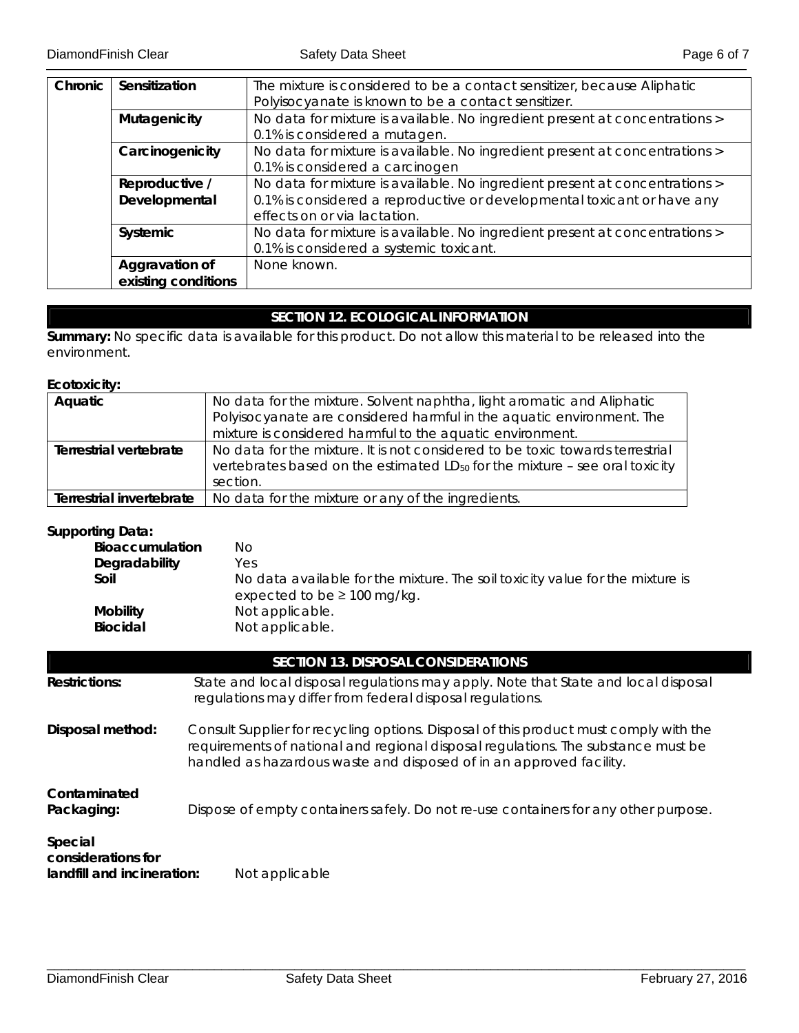| Chronic | Sensitization       | The mixture is considered to be a contact sensitizer, because Aliphatic     |  |  |
|---------|---------------------|-----------------------------------------------------------------------------|--|--|
|         |                     | Polyisocyanate is known to be a contact sensitizer.                         |  |  |
|         | Mutagenicity        | No data for mixture is available. No ingredient present at concentrations > |  |  |
|         |                     | 0.1% is considered a mutagen.                                               |  |  |
|         | Carcinogenicity     | No data for mixture is available. No ingredient present at concentrations > |  |  |
|         |                     | 0.1% is considered a carcinogen                                             |  |  |
|         | Reproductive /      | No data for mixture is available. No ingredient present at concentrations > |  |  |
|         | Developmental       | 0.1% is considered a reproductive or developmental toxicant or have any     |  |  |
|         |                     | effects on or via lactation.                                                |  |  |
|         | Systemic            | No data for mixture is available. No ingredient present at concentrations > |  |  |
|         |                     | 0.1% is considered a systemic toxicant.                                     |  |  |
|         | Aggravation of      | None known.                                                                 |  |  |
|         | existing conditions |                                                                             |  |  |

# **SECTION 12. ECOLOGICAL INFORMATION**

**Summary:** No specific data is available for this product. Do not allow this material to be released into the environment.

# **Ecotoxicity:**

| Aquatic                  | No data for the mixture. Solvent naphtha, light aromatic and Aliphatic                  |
|--------------------------|-----------------------------------------------------------------------------------------|
|                          | Polyisocyanate are considered harmful in the aquatic environment. The                   |
|                          | mixture is considered harmful to the aquatic environment.                               |
| Terrestrial vertebrate   | No data for the mixture. It is not considered to be toxic towards terrestrial           |
|                          | vertebrates based on the estimated LD <sub>50</sub> for the mixture - see oral toxicity |
|                          | section.                                                                                |
| Terrestrial invertebrate | No data for the mixture or any of the ingredients.                                      |

# **Supporting Data:**

| Bioaccumulation | No                                                                                                                |
|-----------------|-------------------------------------------------------------------------------------------------------------------|
| Degradability   | Yes                                                                                                               |
| Soil            | No data available for the mixture. The soil toxicity value for the mixture is<br>expected to be $\geq$ 100 mg/kg. |
| <b>Mobility</b> | Not applicable.                                                                                                   |
| <b>Biocidal</b> | Not applicable.                                                                                                   |

# **SECTION 13. DISPOSAL CONSIDERATIONS**

| <b>Restrictions:</b>                                                                                                                                                                                                                                                  | State and local disposal regulations may apply. Note that State and local disposal<br>regulations may differ from federal disposal regulations. |  |  |
|-----------------------------------------------------------------------------------------------------------------------------------------------------------------------------------------------------------------------------------------------------------------------|-------------------------------------------------------------------------------------------------------------------------------------------------|--|--|
| Consult Supplier for recycling options. Disposal of this product must comply with the<br>Disposal method:<br>requirements of national and regional disposal regulations. The substance must be<br>handled as hazardous waste and disposed of in an approved facility. |                                                                                                                                                 |  |  |
| Contaminated<br>Packaging:                                                                                                                                                                                                                                            | Dispose of empty containers safely. Do not re-use containers for any other purpose.                                                             |  |  |
| Special<br>considerations for<br>landfill and incineration:                                                                                                                                                                                                           | Not applicable                                                                                                                                  |  |  |